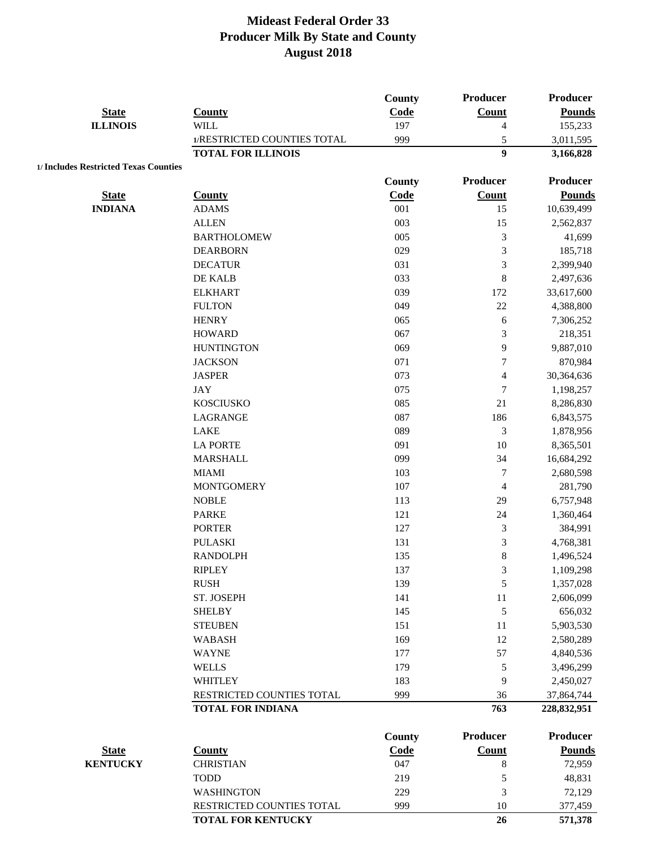| <b>State</b>                          | <b>County</b>                                         | <b>County</b><br>Code | <b>Producer</b><br>Count | <b>Producer</b><br><b>Pounds</b> |
|---------------------------------------|-------------------------------------------------------|-----------------------|--------------------------|----------------------------------|
| <b>ILLINOIS</b>                       | <b>WILL</b>                                           | 197                   | $\overline{4}$           | 155,233                          |
|                                       | 1/RESTRICTED COUNTIES TOTAL                           | 999                   | $\sqrt{5}$               | 3,011,595                        |
|                                       | <b>TOTAL FOR ILLINOIS</b>                             |                       | $\boldsymbol{9}$         | 3,166,828                        |
| 1/ Includes Restricted Texas Counties |                                                       |                       |                          |                                  |
|                                       |                                                       | <b>County</b>         | <b>Producer</b>          | <b>Producer</b>                  |
| <b>State</b>                          | <b>County</b>                                         | Code                  | Count                    | <b>Pounds</b>                    |
| <b>INDIANA</b>                        | <b>ADAMS</b>                                          | 001                   | 15                       | 10,639,499                       |
|                                       | <b>ALLEN</b>                                          | 003                   | 15                       | 2,562,837                        |
|                                       | <b>BARTHOLOMEW</b>                                    | 005                   | 3                        | 41,699                           |
|                                       | <b>DEARBORN</b>                                       | 029                   | 3                        | 185,718                          |
|                                       | <b>DECATUR</b>                                        | 031                   | 3                        | 2,399,940                        |
|                                       | DE KALB                                               | 033                   | 8                        | 2,497,636                        |
|                                       | <b>ELKHART</b>                                        | 039                   | 172                      | 33,617,600                       |
|                                       | <b>FULTON</b>                                         | 049                   | 22                       | 4,388,800                        |
|                                       | <b>HENRY</b>                                          | 065                   | 6                        | 7,306,252                        |
|                                       | <b>HOWARD</b>                                         | 067                   | $\mathfrak{Z}$           | 218,351                          |
|                                       | <b>HUNTINGTON</b>                                     | 069                   | 9                        | 9,887,010                        |
|                                       | <b>JACKSON</b>                                        | 071                   | $\tau$                   | 870,984                          |
|                                       | <b>JASPER</b>                                         | 073                   | $\overline{\mathbf{4}}$  | 30,364,636                       |
|                                       | <b>JAY</b>                                            | 075                   | $\tau$                   | 1,198,257                        |
|                                       | <b>KOSCIUSKO</b>                                      | 085                   | 21                       | 8,286,830                        |
|                                       | LAGRANGE                                              | 087                   | 186                      | 6,843,575                        |
|                                       | LAKE                                                  | 089                   | 3                        | 1,878,956                        |
|                                       | <b>LA PORTE</b>                                       | 091                   | 10                       | 8,365,501                        |
|                                       | <b>MARSHALL</b>                                       | 099                   | 34                       | 16,684,292                       |
|                                       | <b>MIAMI</b>                                          | 103                   | $\tau$                   | 2,680,598                        |
|                                       | <b>MONTGOMERY</b>                                     | 107                   | $\overline{\mathcal{A}}$ | 281,790                          |
|                                       | <b>NOBLE</b>                                          | 113                   | 29                       | 6,757,948                        |
|                                       | <b>PARKE</b>                                          | 121                   | 24                       | 1,360,464                        |
|                                       | <b>PORTER</b>                                         | 127                   | $\mathfrak{Z}$           | 384,991                          |
|                                       | <b>PULASKI</b>                                        | 131                   | $\mathfrak{Z}$           | 4,768,381                        |
|                                       | <b>RANDOLPH</b>                                       | 135                   | 8                        | 1,496,524                        |
|                                       | <b>RIPLEY</b>                                         | 137                   | 3                        | 1,109,298                        |
|                                       | <b>RUSH</b>                                           | 139                   | 5                        | 1,357,028                        |
|                                       | ST. JOSEPH                                            | 141                   | 11                       | 2,606,099                        |
|                                       | <b>SHELBY</b>                                         | 145                   | $\sqrt{5}$               | 656,032                          |
|                                       | <b>STEUBEN</b>                                        | 151                   | 11                       | 5,903,530                        |
|                                       | <b>WABASH</b>                                         | 169                   | 12                       | 2,580,289                        |
|                                       | <b>WAYNE</b>                                          | 177                   | 57                       | 4,840,536                        |
|                                       | <b>WELLS</b>                                          | 179                   | 5                        | 3,496,299                        |
|                                       | <b>WHITLEY</b>                                        |                       |                          |                                  |
|                                       |                                                       | 183<br>999            | 9                        | 2,450,027                        |
|                                       | RESTRICTED COUNTIES TOTAL<br><b>TOTAL FOR INDIANA</b> |                       | 36<br>763                | 37,864,744<br>228,832,951        |
|                                       |                                                       |                       |                          |                                  |
|                                       |                                                       | <b>County</b>         | <b>Producer</b>          | <b>Producer</b>                  |
| <b>State</b>                          | <b>County</b>                                         | <b>Code</b>           | <b>Count</b>             | <b>Pounds</b>                    |
| <b>KENTUCKY</b>                       | <b>CHRISTIAN</b>                                      | 047                   | $\,8\,$                  | 72,959                           |
|                                       | <b>TODD</b>                                           | 219                   | 5                        | 48,831                           |
|                                       | <b>WASHINGTON</b>                                     | 229                   | 3                        | 72,129                           |
|                                       | RESTRICTED COUNTIES TOTAL                             | 999                   | 10                       | 377,459                          |
|                                       | TOTAL FOR KENTUCKY                                    |                       | 26                       | 571,378                          |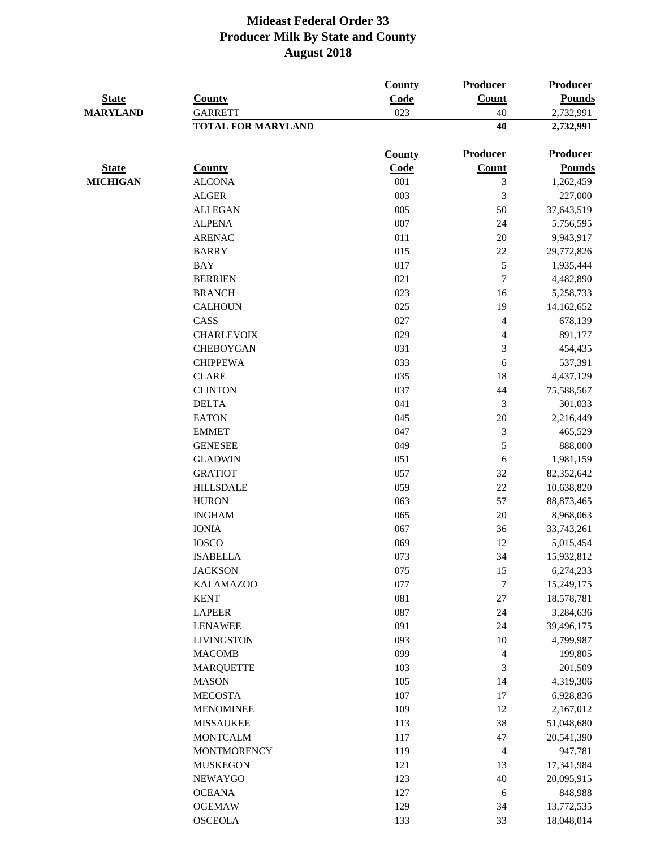|                                 |                           | County | Producer                 | <b>Producer</b> |
|---------------------------------|---------------------------|--------|--------------------------|-----------------|
| <b>State</b><br><b>MARYLAND</b> | <b>County</b>             | Code   | Count                    | <b>Pounds</b>   |
|                                 | <b>GARRETT</b>            | 023    | 40                       | 2,732,991       |
|                                 | <b>TOTAL FOR MARYLAND</b> |        | 40                       | 2,732,991       |
|                                 |                           | County | Producer                 | <b>Producer</b> |
| <b>State</b>                    | <b>County</b>             | Code   | Count                    | <b>Pounds</b>   |
| <b>MICHIGAN</b>                 | <b>ALCONA</b>             | 001    | 3                        | 1,262,459       |
|                                 | <b>ALGER</b>              | 003    | 3                        | 227,000         |
|                                 | <b>ALLEGAN</b>            | 005    | 50                       | 37,643,519      |
|                                 | <b>ALPENA</b>             | 007    | 24                       | 5,756,595       |
|                                 | <b>ARENAC</b>             | 011    | $20\,$                   | 9,943,917       |
|                                 | <b>BARRY</b>              | 015    | $22\,$                   | 29,772,826      |
|                                 | <b>BAY</b>                | 017    | 5                        | 1,935,444       |
|                                 | <b>BERRIEN</b>            | 021    | $\overline{7}$           | 4,482,890       |
|                                 | <b>BRANCH</b>             | 023    | 16                       | 5,258,733       |
|                                 | <b>CALHOUN</b>            | 025    | 19                       | 14,162,652      |
|                                 | CASS                      | 027    | $\overline{\mathcal{L}}$ | 678,139         |
|                                 | <b>CHARLEVOIX</b>         | 029    | $\overline{\mathbf{4}}$  | 891,177         |
|                                 | <b>CHEBOYGAN</b>          | 031    | $\mathfrak{Z}$           | 454,435         |
|                                 | <b>CHIPPEWA</b>           | 033    | $\sqrt{6}$               | 537,391         |
|                                 | <b>CLARE</b>              | 035    | 18                       | 4,437,129       |
|                                 | <b>CLINTON</b>            | 037    | 44                       | 75,588,567      |
|                                 | <b>DELTA</b>              | 041    | 3                        | 301,033         |
|                                 | <b>EATON</b>              | 045    | $20\,$                   | 2,216,449       |
|                                 | <b>EMMET</b>              | 047    | 3                        | 465,529         |
|                                 | <b>GENESEE</b>            | 049    | 5                        | 888,000         |
|                                 | <b>GLADWIN</b>            | 051    | 6                        | 1,981,159       |
|                                 | <b>GRATIOT</b>            | 057    | $32\,$                   | 82,352,642      |
|                                 | <b>HILLSDALE</b>          | 059    | $22\,$                   | 10,638,820      |
|                                 | <b>HURON</b>              | 063    | 57                       | 88, 873, 465    |
|                                 | <b>INGHAM</b>             | 065    | $20\,$                   | 8,968,063       |
|                                 | <b>IONIA</b>              | 067    | 36                       | 33,743,261      |
|                                 | <b>IOSCO</b>              | 069    | 12                       | 5,015,454       |
|                                 | <b>ISABELLA</b>           | 073    | 34                       | 15,932,812      |
|                                 | <b>JACKSON</b>            | 075    | 15                       | 6,274,233       |
|                                 | <b>KALAMAZOO</b>          | 077    | $\boldsymbol{7}$         | 15,249,175      |
|                                 | <b>KENT</b>               | 081    | 27                       | 18,578,781      |
|                                 | <b>LAPEER</b>             | 087    | $24\,$                   | 3,284,636       |
|                                 | <b>LENAWEE</b>            | 091    | 24                       | 39,496,175      |
|                                 | <b>LIVINGSTON</b>         | 093    | 10                       | 4,799,987       |
|                                 | <b>MACOMB</b>             | 099    | 4                        | 199,805         |
|                                 | <b>MARQUETTE</b>          | 103    | 3                        | 201,509         |
|                                 | <b>MASON</b>              | 105    | 14                       | 4,319,306       |
|                                 | <b>MECOSTA</b>            | 107    | 17                       | 6,928,836       |
|                                 | <b>MENOMINEE</b>          | 109    | 12                       | 2,167,012       |
|                                 | <b>MISSAUKEE</b>          | 113    | 38                       | 51,048,680      |
|                                 | <b>MONTCALM</b>           | 117    | 47                       | 20,541,390      |
|                                 | <b>MONTMORENCY</b>        | 119    | 4                        | 947,781         |
|                                 | <b>MUSKEGON</b>           | 121    | 13                       | 17,341,984      |
|                                 | <b>NEWAYGO</b>            | 123    | 40                       | 20,095,915      |
|                                 | <b>OCEANA</b>             | 127    | $\sqrt{6}$               | 848,988         |
|                                 | <b>OGEMAW</b>             | 129    | 34                       | 13,772,535      |
|                                 | <b>OSCEOLA</b>            | 133    | 33                       | 18,048,014      |
|                                 |                           |        |                          |                 |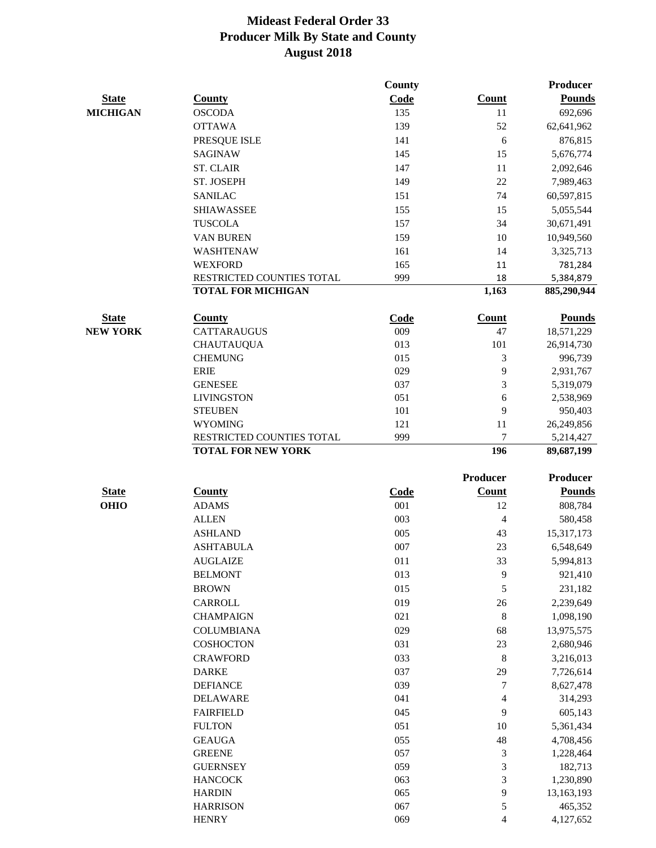|                 |                                                        | County      |                 | <b>Producer</b>         |
|-----------------|--------------------------------------------------------|-------------|-----------------|-------------------------|
| <b>State</b>    | <b>County</b>                                          | Code        | Count           | <b>Pounds</b>           |
| <b>MICHIGAN</b> | <b>OSCODA</b>                                          | 135         | 11              | 692,696                 |
|                 | <b>OTTAWA</b>                                          | 139         | 52              | 62,641,962              |
|                 | PRESQUE ISLE                                           | 141         | 6               | 876,815                 |
|                 | <b>SAGINAW</b>                                         | 145         | 15              | 5,676,774               |
|                 | <b>ST. CLAIR</b>                                       | 147         | 11              | 2,092,646               |
|                 | ST. JOSEPH                                             | 149         | 22              | 7,989,463               |
|                 | <b>SANILAC</b>                                         | 151         | 74              | 60,597,815              |
|                 | <b>SHIAWASSEE</b>                                      | 155         | 15              | 5,055,544               |
|                 | <b>TUSCOLA</b>                                         | 157         | 34              | 30,671,491              |
|                 | VAN BUREN                                              | 159         | 10              | 10,949,560              |
|                 | WASHTENAW                                              | 161         | 14              | 3,325,713               |
|                 | <b>WEXFORD</b>                                         | 165         | 11              | 781,284                 |
|                 | RESTRICTED COUNTIES TOTAL                              | 999         | 18              | 5,384,879               |
|                 | <b>TOTAL FOR MICHIGAN</b>                              |             | 1,163           | 885,290,944             |
| <b>State</b>    | <b>County</b>                                          | Code        | Count           | <b>Pounds</b>           |
| <b>NEW YORK</b> | <b>CATTARAUGUS</b>                                     | 009         | 47              | 18,571,229              |
|                 | <b>CHAUTAUQUA</b>                                      | 013         | 101             | 26,914,730              |
|                 | <b>CHEMUNG</b>                                         | 015         | 3               | 996,739                 |
|                 | <b>ERIE</b>                                            | 029         | 9               | 2,931,767               |
|                 | <b>GENESEE</b>                                         | 037         | 3               | 5,319,079               |
|                 | <b>LIVINGSTON</b>                                      | 051         | 6               | 2,538,969               |
|                 | <b>STEUBEN</b>                                         | 101         | 9               | 950,403                 |
|                 | <b>WYOMING</b>                                         | 121         | 11              | 26,249,856              |
|                 | RESTRICTED COUNTIES TOTAL<br><b>TOTAL FOR NEW YORK</b> | 999         | 7<br>196        | 5,214,427<br>89,687,199 |
|                 |                                                        |             | <b>Producer</b> | <b>Producer</b>         |
| <b>State</b>    | <b>County</b>                                          | <b>Code</b> | <b>Count</b>    | <b>Pounds</b>           |
| <b>OHIO</b>     | <b>ADAMS</b>                                           | 001         | 12              | 808,784                 |
|                 | <b>ALLEN</b>                                           | 003         | $\overline{4}$  | 580,458                 |
|                 | <b>ASHLAND</b>                                         | 005         | 43              | 15,317,173              |
|                 | <b>ASHTABULA</b>                                       | 007         | 23              | 6,548,649               |
|                 | <b>AUGLAIZE</b>                                        | 011         | 33              | 5,994,813               |
|                 | <b>BELMONT</b>                                         | 013         | 9               | 921,410                 |
|                 | <b>BROWN</b>                                           | 015         | 5               | 231,182                 |
|                 | CARROLL                                                | 019         | 26              | 2,239,649               |
|                 | <b>CHAMPAIGN</b>                                       | 021         | $\,8\,$         | 1,098,190               |
|                 | <b>COLUMBIANA</b>                                      | 029         | 68              | 13,975,575              |
|                 | <b>COSHOCTON</b>                                       | 031         | 23              | 2,680,946               |
|                 | <b>CRAWFORD</b>                                        | 033         | 8               | 3,216,013               |
|                 | <b>DARKE</b>                                           | 037         | 29              | 7,726,614               |
|                 | <b>DEFIANCE</b>                                        | 039         | 7               | 8,627,478               |
|                 | <b>DELAWARE</b>                                        | 041         | $\overline{4}$  | 314,293                 |
|                 | <b>FAIRFIELD</b>                                       | 045         | 9               | 605,143                 |
|                 | <b>FULTON</b>                                          | 051         | 10              | 5,361,434               |
|                 | <b>GEAUGA</b>                                          | 055         | 48              | 4,708,456               |
|                 | <b>GREENE</b>                                          | 057         | $\mathfrak{Z}$  | 1,228,464               |
|                 | <b>GUERNSEY</b>                                        | 059         | 3               | 182,713                 |
|                 | <b>HANCOCK</b>                                         | 063         | 3               | 1,230,890               |
|                 | <b>HARDIN</b>                                          | 065         | 9               | 13,163,193              |
|                 | <b>HARRISON</b>                                        | 067         | 5               | 465,352                 |
|                 | <b>HENRY</b>                                           | 069         | $\overline{4}$  | 4,127,652               |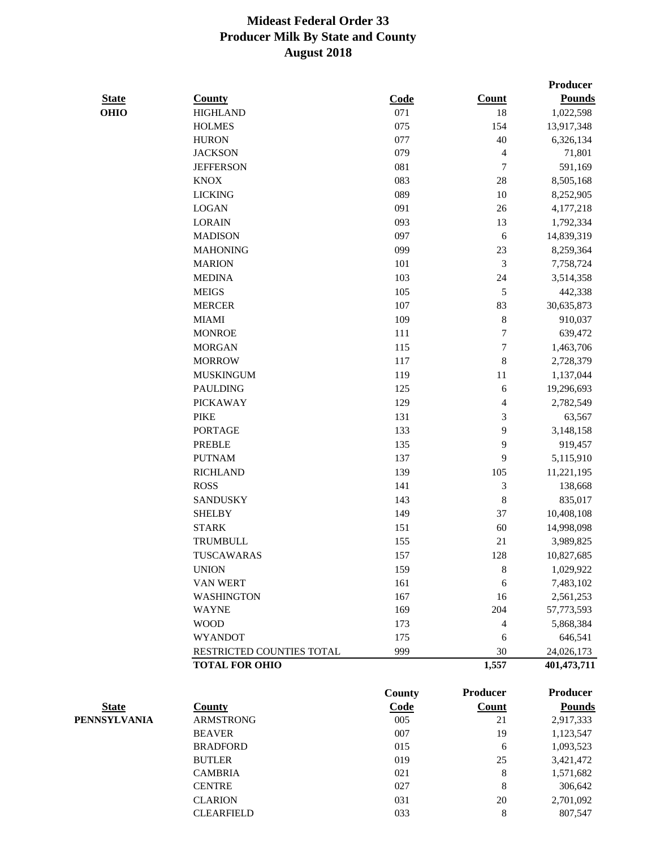|              |                           |        |                  | Producer      |
|--------------|---------------------------|--------|------------------|---------------|
| <b>State</b> | <b>County</b>             | Code   | Count            | <b>Pounds</b> |
| <b>OHIO</b>  | <b>HIGHLAND</b>           | 071    | 18               | 1,022,598     |
|              | <b>HOLMES</b>             | 075    | 154              | 13,917,348    |
|              | <b>HURON</b>              | 077    | 40               | 6,326,134     |
|              | <b>JACKSON</b>            | 079    | 4                | 71,801        |
|              | <b>JEFFERSON</b>          | 081    | 7                | 591,169       |
|              | <b>KNOX</b>               | 083    | 28               | 8,505,168     |
|              | <b>LICKING</b>            | 089    | 10               | 8,252,905     |
|              | <b>LOGAN</b>              | 091    | 26               | 4,177,218     |
|              | <b>LORAIN</b>             | 093    | 13               | 1,792,334     |
|              | <b>MADISON</b>            | 097    | 6                | 14,839,319    |
|              | <b>MAHONING</b>           | 099    | 23               | 8,259,364     |
|              | <b>MARION</b>             | 101    | 3                | 7,758,724     |
|              | <b>MEDINA</b>             | 103    | 24               | 3,514,358     |
|              | <b>MEIGS</b>              | 105    | 5                | 442,338       |
|              | <b>MERCER</b>             | 107    | 83               | 30,635,873    |
|              | <b>MIAMI</b>              | 109    | 8                | 910,037       |
|              | <b>MONROE</b>             | 111    | $\boldsymbol{7}$ | 639,472       |
|              | <b>MORGAN</b>             | 115    | $\boldsymbol{7}$ | 1,463,706     |
|              | <b>MORROW</b>             | 117    | 8                | 2,728,379     |
|              | <b>MUSKINGUM</b>          | 119    | 11               | 1,137,044     |
|              | <b>PAULDING</b>           | 125    | 6                | 19,296,693    |
|              | <b>PICKAWAY</b>           | 129    | 4                | 2,782,549     |
|              | <b>PIKE</b>               | 131    | 3                | 63,567        |
|              | <b>PORTAGE</b>            | 133    | 9                | 3,148,158     |
|              | <b>PREBLE</b>             | 135    | 9                | 919,457       |
|              | <b>PUTNAM</b>             | 137    | 9                | 5,115,910     |
|              | <b>RICHLAND</b>           | 139    | 105              | 11,221,195    |
|              | <b>ROSS</b>               | 141    | 3                | 138,668       |
|              | <b>SANDUSKY</b>           | 143    | $\,8\,$          | 835,017       |
|              | <b>SHELBY</b>             | 149    | 37               | 10,408,108    |
|              | <b>STARK</b>              | 151    | 60               | 14,998,098    |
|              | <b>TRUMBULL</b>           | 155    | 21               | 3,989,825     |
|              | TUSCAWARAS                | 157    | 128              | 10,827,685    |
|              | <b>UNION</b>              | 159    | 8                | 1,029,922     |
|              | <b>VAN WERT</b>           | 161    | 6                | 7,483,102     |
|              | <b>WASHINGTON</b>         | 167    | 16               | 2,561,253     |
|              | <b>WAYNE</b>              | 169    | 204              | 57,773,593    |
|              | <b>WOOD</b>               | 173    | $\overline{4}$   | 5,868,384     |
|              | <b>WYANDOT</b>            | 175    | 6                | 646,541       |
|              | RESTRICTED COUNTIES TOTAL | 999    | 30               | 24,026,173    |
|              | <b>TOTAL FOR OHIO</b>     |        | 1,557            | 401, 473, 711 |
|              |                           |        |                  |               |
|              |                           | County | <b>Producer</b>  | Producer      |
| <b>State</b> | <b>County</b>             | Code   | Count            | <b>Pounds</b> |

| State               | County            | Code | Count | rounas    |
|---------------------|-------------------|------|-------|-----------|
| <b>PENNSYLVANIA</b> | <b>ARMSTRONG</b>  | 005  | 21    | 2,917,333 |
|                     | <b>BEAVER</b>     | 007  | 19    | 1,123,547 |
|                     | <b>BRADFORD</b>   | 015  | 6     | 1,093,523 |
|                     | <b>BUTLER</b>     | 019  | 25    | 3,421,472 |
|                     | <b>CAMBRIA</b>    | 021  | 8     | 1,571,682 |
|                     | <b>CENTRE</b>     | 027  | 8     | 306,642   |
|                     | <b>CLARION</b>    | 031  | 20    | 2,701,092 |
|                     | <b>CLEARFIELD</b> | 033  | 8     | 807,547   |
|                     |                   |      |       |           |